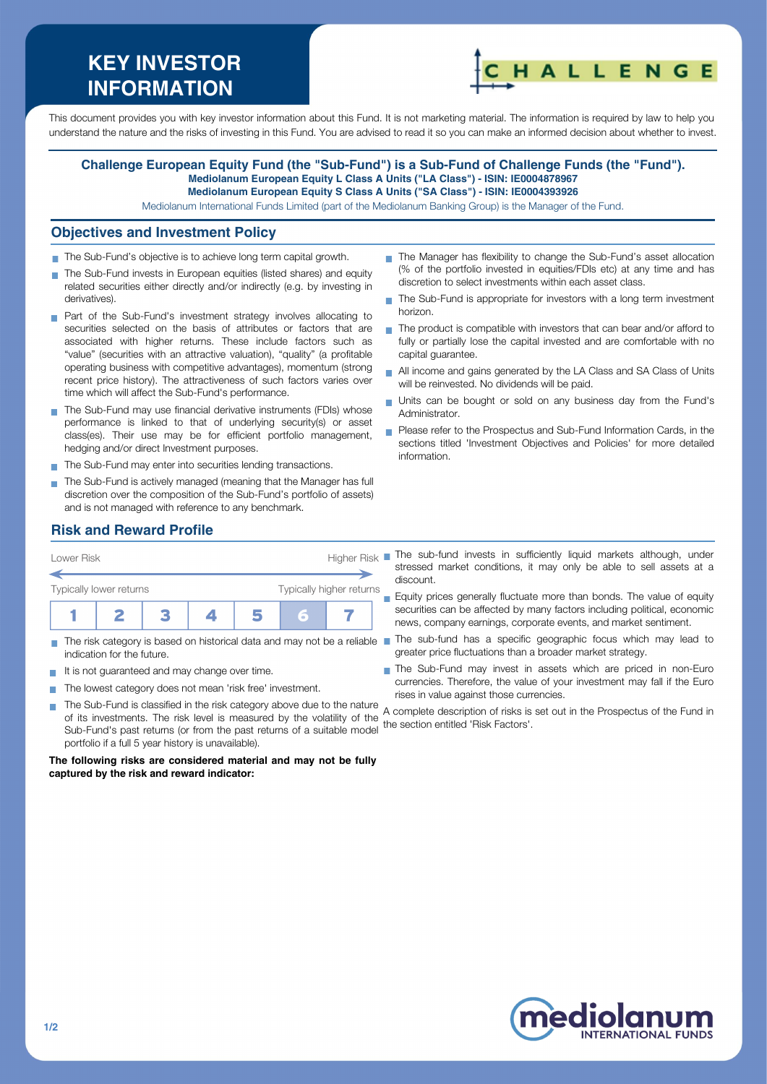# **KEY INVESTOR INFORMATION**



This document provides you with key investor information about this Fund. It is not marketing material. The information is required by law to help you understand the nature and the risks of investing in this Fund. You are advised to read it so you can make an informed decision about whether to invest.

#### **Challenge European Equity Fund (the "Sub-Fund") is a Sub-Fund of Challenge Funds (the "Fund"). Mediolanum European Equity L Class A Units ("LA Class") - ISIN: IE0004878967 Mediolanum European Equity S Class A Units ("SA Class") - ISIN: IE0004393926**

Mediolanum International Funds Limited (part of the Mediolanum Banking Group) is the Manager of the Fund.

#### **Objectives and Investment Policy**

- The Sub-Fund's objective is to achieve long term capital growth.
- The Sub-Fund invests in European equities (listed shares) and equity related securities either directly and/or indirectly (e.g. by investing in derivatives).
- **Part of the Sub-Fund's investment strategy involves allocating to** securities selected on the basis of attributes or factors that are associated with higher returns. These include factors such as "value" (securities with an attractive valuation), "quality" (a profitable operating business with competitive advantages), momentum (strong recent price history). The attractiveness of such factors varies over time which will affect the Sub-Fund's performance.
- The Sub-Fund may use financial derivative instruments (FDIs) whose performance is linked to that of underlying security(s) or asset class(es). Their use may be for efficient portfolio management, hedging and/or direct Investment purposes.
- The Sub-Fund may enter into securities lending transactions.
- The Sub-Fund is actively managed (meaning that the Manager has full discretion over the composition of the Sub-Fund's portfolio of assets) and is not managed with reference to any benchmark.
- The Manager has flexibility to change the Sub-Fund's asset allocation (% of the portfolio invested in equities/FDIs etc) at any time and has discretion to select investments within each asset class.
- The Sub-Fund is appropriate for investors with a long term investment n. horizon.
- $\blacksquare$  The product is compatible with investors that can bear and/or afford to fully or partially lose the capital invested and are comfortable with no capital guarantee.
- All income and gains generated by the LA Class and SA Class of Units will be reinvested. No dividends will be paid.
- Units can be bought or sold on any business day from the Fund's Administrator.
- Please refer to the Prospectus and Sub-Fund Information Cards, in the sections titled 'Investment Objectives and Policies' for more detailed information.

## **Risk and Reward Profile**



- indication for the future.
- It is not quaranteed and may change over time.
- The lowest category does not mean 'risk free' investment.  $\sim$ 
	- The Sub-Fund is classified in the risk category above due to the nature of its investments. The risk level is measured by the volatility of the Sub-Fund's past returns (or from the past returns of a suitable model portfolio if a full 5 year history is unavailable). the section entitled 'Risk Factors'.

**The following risks are considered material and may not be fully captured by the risk and reward indicator:**

stressed market conditions, it may only be able to sell assets at a discount.

**Equity prices generally fluctuate more than bonds. The value of equity** securities can be affected by many factors including political, economic news, company earnings, corporate events, and market sentiment.

- The risk category is based on historical data and may not be a reliable The sub-fund has a specific geographic focus which may lead to greater price fluctuations than a broader market strategy.
	- The Sub-Fund may invest in assets which are priced in non-Euro currencies. Therefore, the value of your investment may fall if the Euro rises in value against those currencies.

A complete description of risks is set out in the Prospectus of the Fund in



**T**